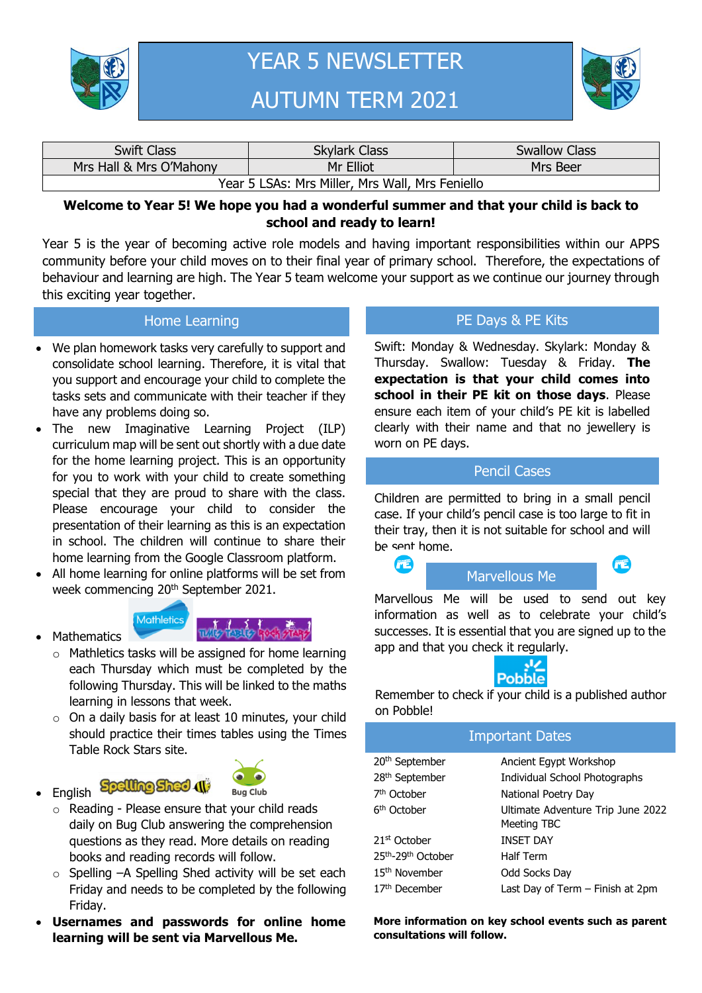

# YEAR 5 NEWSLETTER AUTUMN TERM 2021



| <b>Swift Class</b>                              | <b>Skylark Class</b> | <b>Swallow Class</b> |  |  |  |
|-------------------------------------------------|----------------------|----------------------|--|--|--|
| Mrs Hall & Mrs O'Mahony                         | Mr Elliot            | Mrs Beer             |  |  |  |
| Year 5 LSAs: Mrs Miller, Mrs Wall, Mrs Feniello |                      |                      |  |  |  |

#### **Welcome to Year 5! We hope you had a wonderful summer and that your child is back to school and ready to learn!**

Year 5 is the year of becoming active role models and having important responsibilities within our APPS community before your child moves on to their final year of primary school. Therefore, the expectations of behaviour and learning are high. The Year 5 team welcome your support as we continue our journey through this exciting year together.

#### Home Learning

- We plan homework tasks very carefully to support and consolidate school learning. Therefore, it is vital that you support and encourage your child to complete the tasks sets and communicate with their teacher if they have any problems doing so.
- The new Imaginative Learning Project (ILP) curriculum map will be sent out shortly with a due date for the home learning project. This is an opportunity for you to work with your child to create something special that they are proud to share with the class. Please encourage your child to consider the presentation of their learning as this is an expectation in school. The children will continue to share their home learning from the Google Classroom platform.
- All home learning for online platforms will be set from week commencing 20<sup>th</sup> September 2021.





- o Mathletics tasks will be assigned for home learning each Thursday which must be completed by the following Thursday. This will be linked to the maths learning in lessons that week.
- $\circ$  On a daily basis for at least 10 minutes, your child should practice their times tables using the Times Table Rock Stars site.
- English Spelling Sheet (1)

**Mathematics** 



- o Reading Please ensure that your child reads daily on Bug Club answering the comprehension questions as they read. More details on reading books and reading records will follow.
- o Spelling –A Spelling Shed activity will be set each Friday and needs to be completed by the following Friday.
- **Usernames and passwords for online home learning will be sent via Marvellous Me.**

### PE Days & PE Kits

Swift: Monday & Wednesday. Skylark: Monday & Thursday. Swallow: Tuesday & Friday. **The expectation is that your child comes into school in their PE kit on those days**. Please ensure each item of your child's PE kit is labelled clearly with their name and that no jewellery is worn on PE days.

#### Pencil Cases

Children are permitted to bring in a small pencil case. If your child's pencil case is too large to fit in their tray, then it is not suitable for school and will be sent home.

**STATISTICS** 

## Marvellous Me

**STATISTICS** 

Marvellous Me will be used to send out key information as well as to celebrate your child's successes. It is essential that you are signed up to the app and that you check it regularly.



Remember to check if your child is a published author on Pobble!

#### Important Dates

| 20 <sup>th</sup> September | Ancient Egypt Workshop                           |  |
|----------------------------|--------------------------------------------------|--|
| 28 <sup>th</sup> September | Individual School Photographs                    |  |
| 7 <sup>th</sup> October    | National Poetry Day                              |  |
| 6 <sup>th</sup> October    | Ultimate Adventure Trip June 2022<br>Meeting TBC |  |
| 21 <sup>st</sup> October   | <b>INSET DAY</b>                                 |  |
| 25th-29th October          | <b>Half Term</b>                                 |  |
| 15 <sup>th</sup> November  | Odd Socks Day                                    |  |
| 17 <sup>th</sup> December  | Last Day of Term - Finish at 2pm                 |  |
|                            |                                                  |  |

**More information on key school events such as parent consultations will follow.**